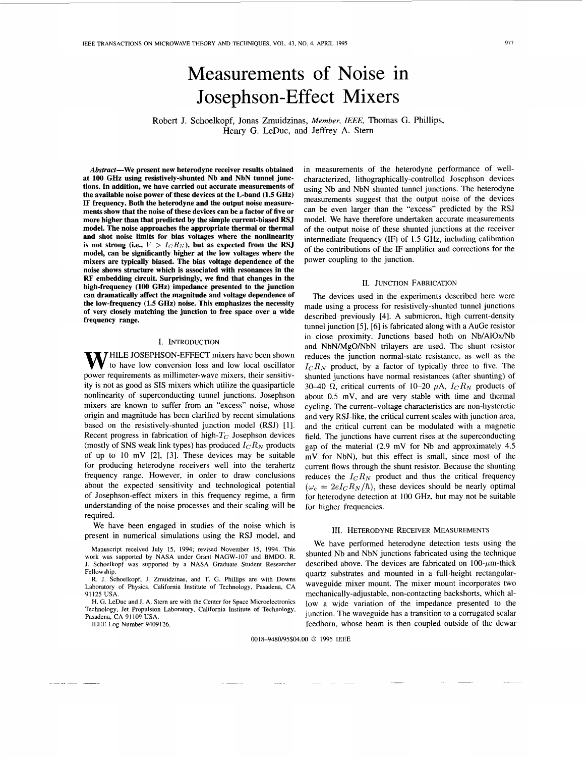# Measurements of Noise in Josephson-Effect Mixers

Robert J. Schoelkopf, Jonas Zmuidzinas, Member, IEEE, Thomas G. Phillips, Henry G. LeDuc, and Jeffrey **A.** Stern

**Abstract-We present new heterodyne receiver results obtained at 100 GHz using resistively-shunted Nb and NbN tunnel junctions. In addition, we have carried out accurate measurements of the available noise power of these devices at the L-band (1.5 GHz) IF frequency. Both the heterodyne and the output noise measurements show that the noise of these devices can be a factor of five or more higher than that predicted by the simple current-biased RSJ model. The noise approaches the appropriate thermal or thermal and shot noise limits for bias voltages where the nonlinearity**  is not strong (i.e.,  $V > I_c R_N$ ), but as expected from the RSJ **model, can be significantly higher at the low voltages where the mixers are typically biased. The bias voltage dependence of the noise shows structure which is associated with resonances in the RF embedding circuit. Surprisingly, we find that changes in the high-frequency (100 GHz) impedance presented to the junction can dramatically affect the magnitude and voltage dependence of the low-frequency (1.5 GHz) noise. This emphasizes the necessity of very closely matching the junction to free space over a wide frequency range.** 

## I. INTRODUCTION

**THILE JOSEPHSON-EFFECT** mixers have been shown to have low conversion loss and low local oscillator power requirements as millimeter-wave mixers, their sensitivity is not as good as **SIS** mixers which utilize the quasiparticle nonlinearity of superconducting tunnel junctions. Josephson mixers are known to suffer from an "excess" noise, whose origin and magnitude has been clarified by recent simulations based on the resistively-shunted junction model (RSJ) [1]. Recent progress in fabrication of high- $T_C$  Josephson devices (mostly of SNS weak link types) has produced  $I_C R_N$  products of up to 10 mV [2], [3]. These devices may be suitable for producing heterodyne receivers well into the terahertz frequency range. However, in order to draw conclusions about the expected sensitivity and technological potential of Josephson-effect mixers in this frequency regime, a **firm**  understanding of the noise processes and their scaling will be required.

We have been engaged in studies of the noise which is present in numerical simulations using the RSJ model, and

Manuscript received July 15, 1994; revised November 15, 1994. This work was supported by NASA under Grant NAGW-107 and BMDO. R. J. Schoelkopf was supported by a NASA Graduate Student Researcher Fellowship.

R. J. Schoelkopf, J. Zmuidzinas, and T. G. Phillips are with Downs Laboratory of Physics, California Institute of Technology, Pasadena, CA 91 I25 USA.

H. G. LeDuc and I. A. Stem are with the Center for Space Microelectronics Technology, Jet Propulsion Laboratory, California Institute of Technology, Pasadena, CA 91 109 USA.

IEEE Log Number 9409126.

2020 - 22 Julie 2021

in measurements of the heterodyne performance of wellcharacterized, lithographically-controlled Josephson devices using Nb and NbN shunted tunnel junctions. The heterodyne measurements suggest that the output noise of the devices can be even larger than the "excess" predicted by the RSJ model. We have therefore undertaken accurate measurements of the output noise of these shunted junctions at the receiver intermediate frequency (IF) of 1.5 GHz, including calibration of the contributions of the IF amplifier and corrections for the power coupling to the junction.

## **11.** JUNCTION FABRICATION

The devices used in the experiments described here were made using a process for resistively-shunted tunnel junctions described previously [4]. A submicron, high current-density tunnel junction [5], [6] is fabricated along with a AuGe resistor in close proximity. Junctions based both on Nb/AlOx/Nb and NbN/MgO/NbN trilayers are used. The shunt resistor reduces the junction normal-state resistance, as well as the  $I_c R_N$  product, by a factor of typically three to five. The shunted junctions have normal resistances (after shunting) of 30–40  $\Omega$ , critical currents of 10–20  $\mu$ A,  $I_C R_N$  products of about 0.5 mV, and are very stable with time and thermal cycling. The current-voltage characteristics are non-hysteretic and very RSJ-like, the critical current scales with junction area, and the critical current can be modulated with a magnetic field. The junctions have current rises at the superconducting gap of the material (2.9 mV for Nb and approximately 4.5 mV for NbN), but this effect is small, since most of the current flows through the shunt resistor. Because the shunting reduces the  $I_C R_N$  product and thus the critical frequency  $(\omega_c = 2eI_C R_N/\hbar)$ , these devices should be nearly optimal for heterodyne detection at 100 GHz, but may not be suitable for higher frequencies.

#### **111.** HETERODYNE RECEIVER MEASUREMENTS

We have performed heterodyne detection tests using the shunted Nb and NbN junctions fabricated using the technique described above. The devices are fabricated on  $100$ - $\mu$ m-thick quartz substrates and mounted in a full-height rectangularwaveguide mixer mount. The mixer mount incorporates two mechanically-adjustable, non-contacting backshorts, which allow a wide variation of the impedance presented to the junction. The waveguide has a transition to a corrugated scalar feedhom, whose beam is then coupled outside of the dewar

0018-9480/95\$04.00 *0* 1995 IEEE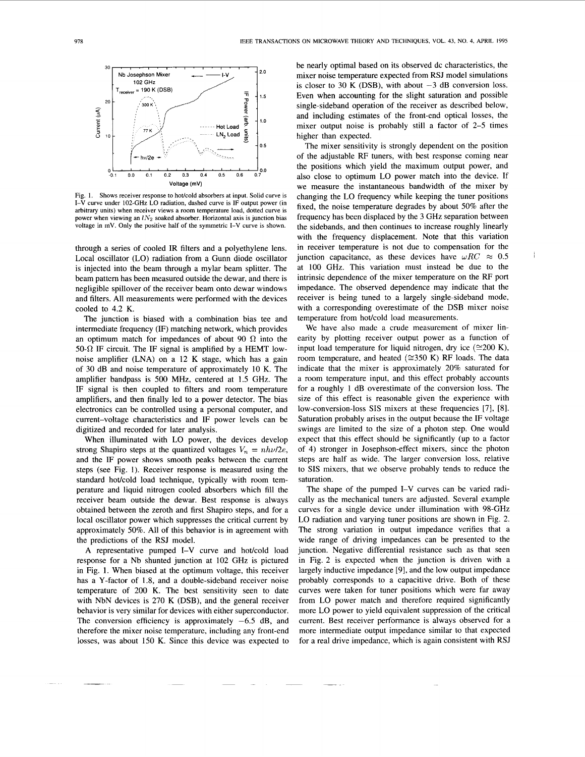

Fig. 1. Shows receiver response to hot/cold absorbers at input. Solid curve is I-V curve under 102-GHz LO radiation, dashed curve is IF output power (in arbitrary units) when receiver views a room temperature load, dotted curve is power when viewing an  $lN_2$  soaked absorber. Horizontal axis is junction bias voltage in mV. Only the positive half of the symmetric I-V curve is shown.

through a series of cooled IR filters and a polyethylene lens. Local oscillator (LO) radiation from a Gunn diode oscillator is injected into the beam through a mylar beam splitter. The beam pattern has been measured outside the dewar, and there is negligible spillover of the receiver beam onto dewar windows and filters. All measurements were performed with the devices cooled to 4.2 K.

The junction is biased with a combination bias tee and intermediate frequency (IF) matching network, which provides an optimum match for impedances of about 90  $\Omega$  into the 50- $\Omega$  IF circuit. The IF signal is amplified by a HEMT lownoise amplifier (LNA) on a 12 K stage, which has a gain of 30 dB and noise temperature of approximately 10 K. The amplifier bandpass is 500 MHz, centered at 1.5 GHz. The IF signal is then coupled to filters and room temperature amplifiers, and then finally led to a power detector. The bias electronics can be controlled using a personal computer, and current-voltage characteristics and IF power levels can be digitized and recorded for later analysis.

When illuminated with LO power, the devices develop strong Shapiro steps at the quantized voltages  $V_n = nh\nu/2e$ , and the IF power shows smooth peaks between the current steps (see Fig. 1). Receiver response is measured using the standard hot/cold load technique, typically with room temperature and liquid nitrogen cooled absorbers which fill the receiver beam outside the dewar. Best response is always obtained between the zeroth and first Shapiro steps, and for a local oscillator power which suppresses the critical current by approximately 50%. All of this behavior is in agreement with the predictions of the RSJ model.

A representative pumped I-V curve and hot/cold load response for a Nb shunted junction at 102 GHz is pictured in Fig. 1. When biased at the optimum voltage, this receiver has a Y-factor of 1.8, and a double-sideband receiver noise temperature of 200 K. The best sensitivity seen to date with NbN devices is 270 K (DSB), and the general receiver behavior is very similar for devices with either superconductor. The conversion efficiency is approximately  $-6.5$  dB, and therefore the mixer noise temperature, including any front-end losses, was about 150 K. Since this device was expected to be nearly optimal based on its observed dc characteristics, the mixer noise temperature expected from RSJ model simulations is closer to 30 K (DSB), with about  $-3$  dB conversion loss. Even when accounting for the slight saturation and possible single-sideband operation of the receiver as described below, and including estimates of the front-end optical losses, the mixer output noise is probably still a factor of 2-5 times higher than expected.

The mixer sensitivity is strongly dependent on the position of the adjustable RF tuners, with best response coming near the positions which yield the maximum output power, and also close to optimum LO power match into the device. If we measure the instantaneous bandwidth of the mixer by changing the LO frequency while keeping the tuner positions fixed, the noise temperature degrades by about 50% after the frequency has been displaced by the **3** GHz separation between the sidebands, and then continues to increase roughly linearly with the frequency displacement. Note that this variation in receiver temperature is not due to compensation for the junction capacitance, as these devices have  $wRC \approx 0.5$ at 100 GHz. This variation must instead be due to the intrinsic dependence of the mixer temperature on the RF port impedance. The observed dependence may indicate that the receiver is being tuned to a largely single-sideband mode, with a corresponding overestimate of the DSB mixer noise temperature from hot/cold load measurements.

We have also made a crude measurement of mixer linearity by plotting receiver output power as a function of input load temperature for liquid nitrogen, dry ice  $(\approx 200 \text{ K})$ , room temperature, and heated ( $\approx$ 350 K) RF loads. The data indicate that the mixer is approximately 20% saturated for a room temperature input, and this effect probably accounts for a roughly 1 dB overestimate of the conversion loss. The size of this effect is reasonable given the experience with low-conversion-loss SIS mixers at these frequencies [7], [8]. Saturation probably arises in the output because the IF voltage swings are limited to the size of a photon step. One would expect that this effect should be significantly (up to a factor of 4) stronger in Josephson-effect mixers, since the photon steps are half as wide. The larger conversion loss, relative to SIS mixers, that we observe probably tends to reduce the saturation.

The shape of the pumped I-V curves can be varied radically as the mechanical tuners are adjusted. Several example curves for a single device under illumination with 98-GHz LO radiation and varying tuner positions are shown in Fig. 2. The strong variation in output impedance verifies that a wide range of driving impedances can be presented to the junction. Negative differential resistance such as that seen in Fig. 2 is expected when the junction is driven with a largely inductive impedance [9], and the low output impedance probably corresponds to a capacitive drive. Both of these curves were taken for tuner positions which were far away from LO power match and therefore required significantly more LO power to yield equivalent suppression of the critical current. Best receiver performance is always observed for a more intermediate output impedance similar to that expected for a real drive impedance, which is again consistent with RSJ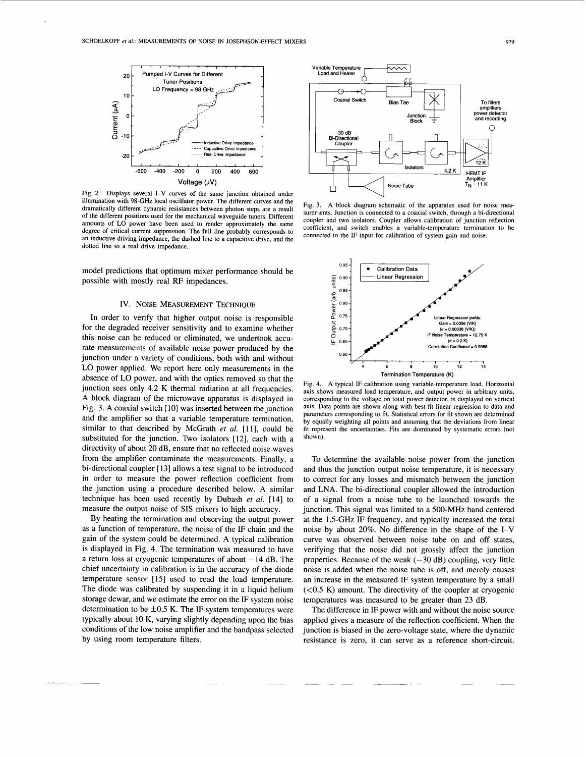

Fig. 2. Displays several I-V curves of the same junction obtained under illumination with 98-GHz local oscillator power. The different curves and the dramatically different dynamic resistances between photon steps are a result of the different positions used for the mechanical waveguide tuners. Different amounts of LO power have been used to render approximately the same degree of critical current suppression. The full line probably corresponds to an inductive driving impedance, the dashed line to a capacitive drive, and the dotted line to a real drive impedance.

model predictions that optimum mixer performance should be possible with mostly real RF impedances.

## **IV. NOISE MEASUREMENT TECHNIQUE**

In order to verify that higher output noise is responsible for the degraded receiver sensitivity and to examine whether this noise can be reduced or eliminated, we undertook accurate measurements of available noise power produced by the junction under a variety of conditions, both with and without LO power applied. We report here only measurements in the absence of LO power, and with the optics removed so that the junction sees only 4.2 K thermal radiation at all frequencies. A block diagram of the microwave apparatus is displayed in Fig. 3. A coaxial switch [10] was inserted between the junction and the amplifier so that a variable temperature termination, similar to that described by McGrath et al. [11], could be substituted for the junction. Two isolators [12], each with a directivity of about 20 dB, ensure that no reflected noise waves from the amplifier contaminate the measurements. Finally, a bi-directional coupler [13] allows a test signal to be introduced in order to measure the power reflection coefficient from the junction using a procedure described below. A similar technique has been used recently by Dubash *et al.* [14] to measure the output noise of **SIS** mixers to high accuracy.

By heating the termination and observing the output power as a function of temperature, the noise **of** the IF chain and the gain of the system could be determined. A typical calibration is displayed in Fig. 4. The termination was measured to have a return loss at cryogenic temperatures of about  $-14$  dB. The chief uncertainty in calibration is in the accuracy of the diode temperature sensor [15] used to read the load temperature. The diode was calibrated by suspending it in a liquid helium storage dewar, and we estimate the error on the IF system noise determination to be  $\pm 0.5$  K. The IF system temperatures were typically about 10 **K,** varying slightly depending upon the bias conditions of the low noise amplifier and the bandpass selected by using room temperature filters.



surer lents. Junction is connected to a coaxial switch, through a bi-directional coupler and two isolators. Coupler allows calibration of junction reflection coefficient, and switch enables a variable-temperature termination to be connected to the IF input for calibration of system gain and noise.



Fig. **4.** A typical IF calibration using variable-temperature load. Horizontal axis shows measured load temperature, and output power in arbitrary units, corresponding to the voltage on total power detector, is displayed on vertical axis. Data points are shown along with best-fit linear regression to data and parameters corresponding to fit. Statistical errors for fit shown are determined by equally weighting all points and assuming that the deviations from linear fit represent the uncertainties. Fits are dominated by systematic errors (not shown).

To determine the available noise power from the junction and thus the junction output noise temperature, it is necessary to correct for any losses and mismatch between the junction and LNA. The bi-directional coupler allowed the introduction of a signal from a noise tube to be launched towards the junction. This signal was limited to a 500-MHz band centered at the 1.5-GHz IF frequency, and typically increased the total noise by about 20%. No difference in the shape of the I-V curve was observed between noise tube on and off states, verifying that the noise did not grossly affect the junction properties. Because of the weak  $(-30 \text{ dB})$  coupling, very little noise is added when the noise tube is off, and merely causes an increase in the measured IF system temperature by a small (<0.5 **K)** amount. The directivity of the coupler at cryogenic temperatures was measured to be greater than 23 dB.

The difference in IF power with and without the noise source applied gives a measure of the reflection coefficient. When the junction is biased in the zero-voltage state, where the dynamic resistance is zero, it can serve as a reference short-circuit.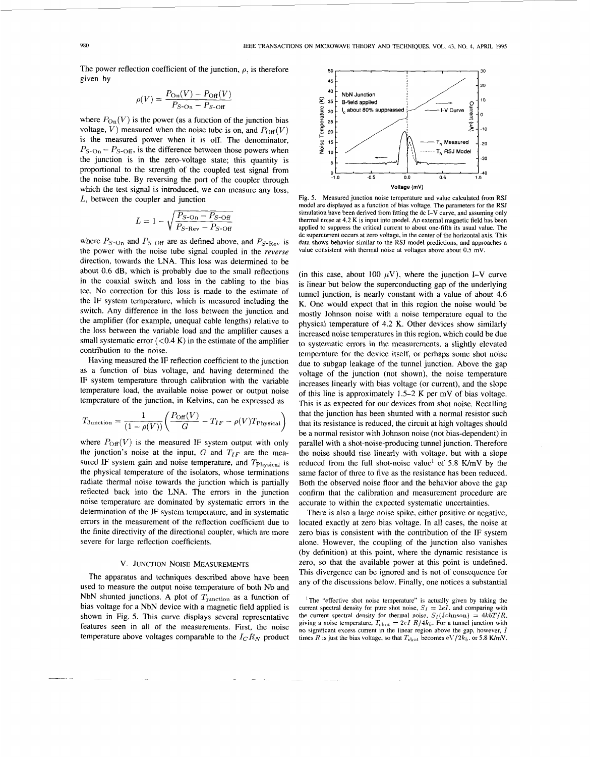The power reflection coefficient of the junction,  $\rho$ , is therefore given by

$$
\rho(V) = \frac{P_{\text{On}}(V) - P_{\text{Off}}(V)}{P_{S-\text{On}} - P_{S-\text{Off}}}
$$

where  $P_{\text{On}}(V)$  is the power (as a function of the junction bias voltage, V) measured when the noise tube is on, and  $P_{\text{Off}}(V)$ is the measured power when it is off. The denominator,  $P_{S-\text{On}} - P_{S-\text{Off}}$ , is the difference between those powers when the junction is in the zero-voltage state; this quantity is proportional to the strength of the coupled test signal from the noise tube. By reversing the port of the coupler through which the test signal is introduced, we can measure any loss, *L,* between the coupler and junction ing the port of the coupler throught<br>troduced, we can measure any los<br>nd junction<br> $\sqrt{\frac{P_{S-\text{On}}-P_{S-\text{Off}}}{P_{S-\text{Rev}}-P_{S-\text{Off}}}}$ <br>are as defined above, and  $P_{S-\text{Rev}}$ 

$$
L = 1 - \sqrt{\frac{P_{S\text{-On}} - P_{S\text{-Off}}}{P_{S\text{-Rev}} - P_{S\text{-Off}}}}
$$

where  $P_{S-\text{On}}$  and  $P_{S-\text{Off}}$  are as defined above, and  $P_{S-\text{Rev}}$  is the power with the noise tube signal coupled in the *reverse*  direction, towards the LNA. This loss was determined to be about 0.6 dB, which is probably due to the small reflections in the coaxial switch and loss in the cabling to the bias tee. No correction for this loss is made to the estimate of the IF system temperature, which is measured including the switch. Any difference in the loss between the junction and the amplifier (for example, unequal cable lengths) relative to the loss between the variable load and the amplifier causes a small systematic error  $( $0.4 \text{ K}$ )$  in the estimate of the amplifier contribution to the noise.

Having measured the IF reflection coefficient to the junction as a function of bias voltage, and having determined the IF system temperature through calibration with the variable temperature load, the available noise power or output noise temperature of the junction, in Kelvins, can be expressed as

$$
T_{\text{Junction}} = \frac{1}{(1 - \rho(V))} \left( \frac{P_{\text{Off}}(V)}{G} - T_{IF} - \rho(V) T_{\text{Physical}} \right)
$$

where  $P_{\text{Off}}(V)$  is the measured IF system output with only the junction's noise at the input,  $G$  and  $T_{IF}$  are the measured IF system gain and noise temperature, and **Tphysical** is the physical temperature of the isolators, whose terminations radiate thermal noise towards the junction which is partially reflected back into the **LNA.** The errors in the junction noise temperature are dominated by systematic errors in the determination of the IF system temperature, and in systematic errors in the measurement of the reflection coefficient due to the finite directivity of the directional coupler, which are more severe for large reflection coefficients.

## V. JUNCTION NOISE MEASUREMENTS

The apparatus and techniques described above have been used to measure the output noise temperature of both Nb and NbN shunted junctions. A plot of  $T_{\text{junction}}$  as a function of bias voltage for a NbN device with a magnetic field applied is shown in Fig. *5.* This curve displays several representative features seen in all of the measurements. First, the noise temperature above voltages comparable to the  $I_C R_N$  product



Fig. 5. Measured junction noise temperature and value calculated from RSJ model are displayed as a function of bias voltage. **The** parameters for the **RSJ**  simulation have been derived from fitting the dc I-V curve, and assuming only thermal noise at *4.2* K is input into model. An external magnetic field has been applied to suppress the critical current to about one-fifth its usual value. **The**  dc supercurrent occurs at **zero** voltage, in the center of the horizontal axis. This data shows behavior similar to the RSJ model predictions, and approaches a value consistent with thermal noise at voltages above about 0.5 mV.

(in this case, about 100  $\mu$ V), where the junction I-V curve is linear but below the superconducting gap of the underlying tunnel junction, is nearly constant with a value of about 4.6 K. One would expect that in this region the noise would be mostly Johnson noise with a noise temperature equal to the physical temperature of 4.2 K. Other devices show similarly increased noise temperatures in this region, which could be due to systematic errors in the measurements, a slightly elevated temperature for the device itself, or perhaps some shot noise due to subgap leakage of the tunnel junction. Above the gap voltage of the junction (not shown), the noise temperature increases linearly with bias voltage (or current), and the slope of this line is approximately 1.5-2 K per mV of bias voltage. This is as expected for our devices from shot noise. Recalling that the junction has been shunted with a normal resistor such that its resistance is reduced, the circuit at high voltages should be a normal resistor with Johnson noise (not bias-dependent) in parallel with a shot-noise-producing tunnel junction. Therefore the noise should rise linearly with voltage, but with a slope reduced from the full shot-noise value' of 5.8 WmV by the same factor of three to five as the resistance has been reduced. Both the observed noise floor and the behavior above the gap confirm that the calibration and measurement procedure are accurate to within the expected systematic uncertainties.

There is also a large noise spike, either positive or negative, located exactly at zero bias voltage. In all cases, the noise at zero bias is consistent with the contribution of the IF system alone. However, the coupling of the junction also vanishes (by definition) at this point, where the dynamic resistance is zero, so that the available power at this point is undefined. This divergence can be ignored and is not of consequence for any of the discussions below. Finally, one notices a substantial

<sup>&</sup>lt;sup>1</sup>The "effective shot noise temperature" is actually given by taking the current spectral density for pure shot noise,  $S_I = 2eI$ , and comparing with the current spectral density for thermal noise,  $S_I(\text{Johnson}) = 4kbT/R$ , giving a noise temperature,  $T_{\text{shot}} = 2eI R/4k_b$ . For a tunnel junction with no significant excess current in the linear region above the gap, however, *I*  times *R* is just the bias voltage, so that  $T_{\text{shot}}$  becomes  $eV/2k_b$ . or 5.8 K/mV.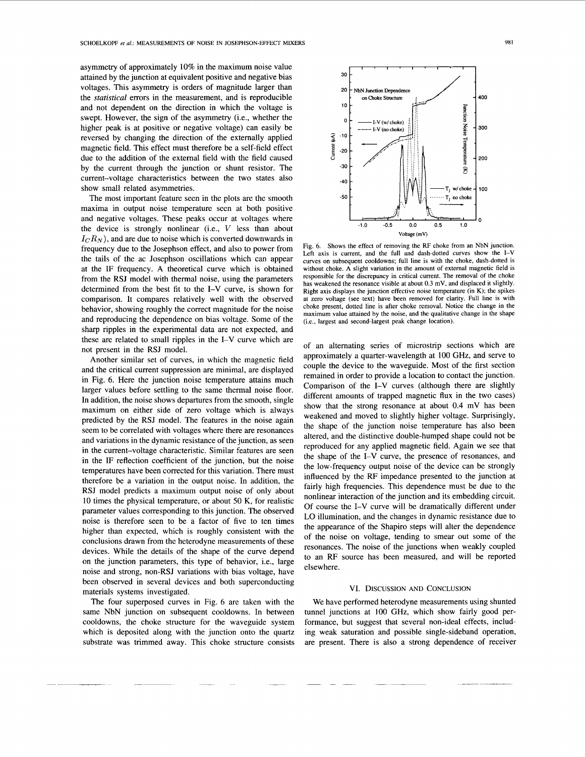asymmetry of approximately 10% in the maximum noise value attained by the junction at equivalent positive and negative bias voltages. This asymmetry is orders of magnitude larger than the *statistical* errors in the measurement, and is reproducible and not dependent on the direction in which the voltage is swept. However, the sign of the asymmetry (i.e., whether the higher peak is at positive **or** negative voltage) can easily be reversed by changing the direction of the externally applied magnetic field. This effect must therefore be a self-field effect due to the addition of the external field with the field caused by the current through the junction or shunt resistor. The current-voltage characteristics between the two states also show small related asymmetries.

The most important feature seen in the plots are the smooth maxima in output noise temperature seen at both positive and negative voltages. These peaks occur at voltages where the device is strongly nonlinear (i.e.,  $V$  less than about *IcRN),* and are due to noise which is converted downwards in frequency due to the Josephson effect, and also to power from the tails of the ac Josephson oscillations which can appear at the IF frequency. A theoretical curve which is obtained from the RSJ model with thermal noise, using the parameters determined from the best fit to the I-V curve, is shown for comparison. It compares relatively well with the observed behavior, showing roughly the correct magnitude for the noise and reproducing the dependence on bias voltage. Some of the sharp ripples in the experimental data are not expected, and these are related to small ripples in the I-V curve which are not present in the RSJ model.

Another similar set of curves, in which the magnetic field and the critical current suppression are minimal, are displayed in Fig. 6. Here the junction noise temperature attains much larger values before settling to the same thermal noise floor. In addition, the noise shows departures from the smooth, single maximum on either side of zero voltage which is always predicted by the RSJ model. The features in the noise again seem to be correlated with voltages where there are resonances and variations in the dynamic resistance of the junction, as seen in the current-voltage characteristic. Similar features are seen in the IF reflection coefficient of the junction, but the noise temperatures have been corrected for this variation. There must therefore be a variation in the output noise. In addition, the RSJ model predicts a maximum output noise of only about 10 times the physical temperature, or about 50 K, for realistic parameter values corresponding to this junction. The observed noise is therefore seen to be a factor of five to ten times higher than expected, which is roughly consistent with the conclusions drawn from the heterodyne measurements of these devices. While the details of the shape of the curve depend on the junction parameters, this type of behavior, i.e., large noise and strong, non-RSJ variations with bias voltage, have been observed in several devices and both superconducting materials systems investigated.

The four superposed curves in Fig. 6 are taken with the same NbN junction on subsequent cooldowns. In between cooldowns, the choke structure for the waveguide system which is deposited along with the junction onto the quartz substrate was trimmed away. This choke structure consists



Fig. **6.** Shows the effect of removing the RF choke from an NbN junction. Left axis is current, and the full and dash-dotted curves show the I-V curves on subsequent cooldowns; full line is with the choke, dash-dotted is without choke. **A** slight variation in the amount of external magnetic field is responsible for the discrepancy in critical current. The removal of the choke has weakened the resonance visible at about **0.3** mV, and displaced it slightly. Right axis displays the junction effective noise temperature (in K); the spikes at zero voltage (see text) have been removed for clarity. Full line is with choke present, dotted line is after choke removal. Notice the change in the maximum value attained by the noise, and the qualitative change in the shape (Le., largest and second-largest peak change location).

of an alternating series of microstrip sections which are approximately a quarter-wavelength at 100 GHz, and serve to couple the device to the waveguide. Most of the first section remained in order to provide a location to contact the junction. Comparison of the I-V curves (although there are slightly different amounts of trapped magnetic flux in the two cases) show that the strong resonance at about 0.4 mV has been weakened and moved to slightly higher voltage. Surprisingly, the shape of the junction noise temperature has also been altered, and the distinctive double-humped shape could not be reproduced for any applied magnetic field. Again we see that the shape of the I-V curve, the presence of resonances, and the low-frequency output noise of the device can be strongly influenced by the RF impedance presented to the junction at fairly high frequencies. This dependence must be due to the nonlinear interaction of the junction and its embedding circuit. Of course the I-V curve will be dramatically different under LO illumination, and the changes in dynamic resistance due to the appearance of the Shapiro steps will alter the dependence of the noise on voltage, tending to smear out some of the resonances. The noise of the junctions when weakly coupled to an RF source has been measured, and will be reported elsewhere.

#### VI. DISCUSSION AND CONCLUSION

We have performed heterodyne measurements using shunted tunnel junctions at 100 GHz, which show fairly good performance, but suggest that several non-ideal effects, including weak saturation and possible single-sideband operation, are present. There is also a strong dependence of receiver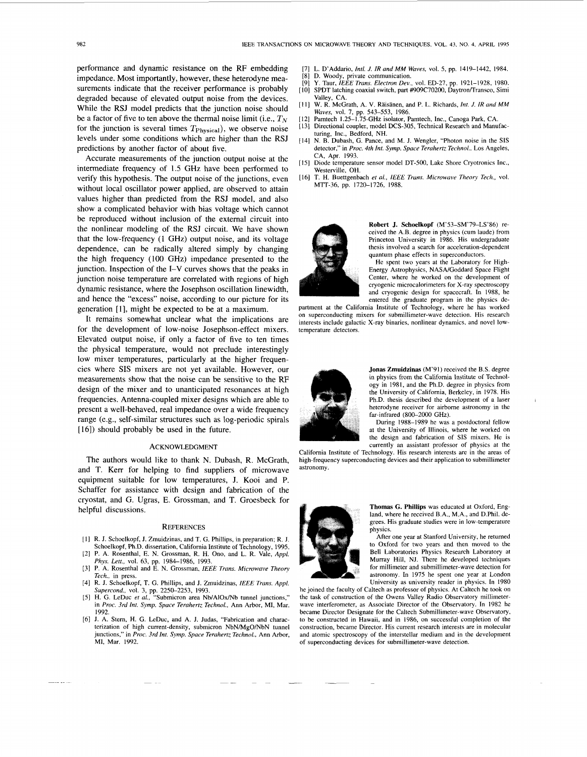performance and dynamic resistance on the RF embedding impedance. Most importantly, however, these heterodyne measurements indicate that the receiver performance is probably degraded because of elevated output noise from the devices. While the **RSJ** model predicts that the junction noise should be a factor of five to ten above the thermal noise limit (i.e.,  $T_N$ ) for the junction is several times  $T_{\text{Physical}}$ ), we observe noise levels under some conditions which are higher than the RSJ predictions by another factor of about five.

Accurate measurements of the junction output noise at the intermediate frequency of 1.5 GHz have been performed to verify this hypothesis. The output noise of the junctions, even without local oscillator power applied, are observed to attain values higher than predicted from the RSJ model, and also show a complicated behavior with bias voltage which cannot be reproduced without inclusion of the extemal circuit into the nonlinear modeling of the RSJ circuit. We have shown that the low-frequency (1 GHz) output noise, and its voltage dependence, can be radically altered simply by changing the high frequency (100 GHz) impedance presented to the junction. Inspection of the I-V curves shows that the peaks in junction noise temperature are correlated with regions of high dynamic resistance, where the Josephson oscillation linewidth, and hence the "excess" noise, according to our picture for its generation [I], might be expected to be at a maximum.

It remains somewhat unclear what the implications are for the development of low-noise Josephson-effect mixers. Elevated output noise, if only a factor of five to ten times the physical temperature, would not preclude interestingly low mixer temperatures, particularly at the higher frequencies where **SIS** mixers are not yet available. However, our measurements show that the noise can be sensitive to the RF design of the mixer and to unanticipated resonances at high frequencies. Antenna-coupled mixer designs which are able to present a well-behaved, real impedance over a wide frequency range (e.g., self-similar structures such as log-periodic spirals **[16])** should probably be used in the future.

#### ACKNOWLEDGMENT

The authors would like to thank N. Dubash, R. McGrath, and T. Kerr for helping to find suppliers of microwave equipment suitable for low temperatures, J. Kooi and P. Schaffer for assistance with design and fabrication of the cryostat, and G. Ugras, E. Grossman, and T. Groesbeck for helpful discussions.

#### **REFERENCES**

- R. **J.** Schoelkopf, **J.** Zmuidzinas, and T. G. Phillips, in preparation; R. **J.**  Schoelkopf, Ph.D. dissertation, California Institute of Technology, 1995.
- P. A. Rosenthal, E. N. Grossman, R. H. Ono, and L. R. Vale, *Appl.*
- *Phys. Lett,* vol. 63, pp. 1984-1986, 1993. P. A. Rosenthal and E. N. Grossman, *IEEE Trans. Microwave Theory Tech.,* in press.
- R. **J.** Schoelkopf, T. G. Phillips, and **J.** Zmuidzinas, *IEEE Trans. Appl.*
- *Supercond.,* vol. 3, pp. 2250-2253, 1993. H. G. LeDuc *et al.,* "Submicron area Nb/AlOx/Nb tunnel junctions," in *Proc. 3rd Inr. Symp. Space Terahertz Technol.,* Ann Arbor, MI, Mar. 1992.
- **J.** A. Stem, H. G. LeDuc, and A. **J.** Judas, "Fabrication and characterization of high current-density, submicron NbN/MgO/NbN tunnel junctions," in *Proc. 3rd Inr. Symp. Space Teruherrz Technol.,* Ann Arbor, MI, Mar. 1992.
- L. D'Addario, *Intl. J. IR and MM Waves,* vol. 5, pp. 1419-1442, 1984. D. Woody, private communication.
- Y. Taur, *IEEE Trans. Electron Dev.,* vol. ED-27, pp. 1921-1928, 1980.
- [10] SPDT latching coaxial switch, part #909C70200, Daytron/Transco, Simi Valley, CA.
- W. R. McGrath, A. V. Raisanen, and P. L. Richards, *Int. J. 1R and MM*   $[11]$ *Waves.* vol. 7, pp. 543-553, 1986. Pamtech 1.25-1.75-GHz isolator, Pamtech, Inc., Canoga Park, CA.
- 
- Directional coupler, model DCS-305, Technical Research and Manufacturing, Inc., Bedford, NH.
- $[14]$ N. B. Dubash, G. Pance, and M. **J.** Wengler, "Photon noise in the **SIS**  detector," in *Proc. 4th Int. Symp. Space Terahertz Technol.,* Los Angeles, CA, Apr. 1993.
- Diode temperature sensor model DT-500, Lake Shore Cryotronics Inc., 1151 Westerville, OH.
- [16] T. H. Buettgenbach et al., IEEE Trans. Microwave Theory Tech., vol. MTT-36, pp. 1720-1726, 1988.



**Robert J. Schoelkopf** (M'53-SM'79-LS'86) received the A.B. degree in physics (cum laude) from Princeton University in 1986. His undergraduate thesis involved a search for acceleration-dependent quantum phase effects in superconductors

He spent two years at the Laboratory for High-Energy Astrophysics, NASNGoddard Space Flight Center, where he worked on the development of cryogenic microcalonmeters **for** X-ray spectroscopy and cryogenic design for spacecraft. In 1988, he entered the graduate program in the physics de-

partment at the California Institute of Technology, where he has worked on superconducting mixers for submillimeter-wave detection His research interests include galactic X-ray binaries, nonlinear dynamics, and novel lowtemperature detectors



**Jonas Zmuidzinas** (M'91) received the B.S. degree in physics from the California Institute of Technology in 1981, and the Ph.D. degree in physics from the University of California, Berkeley, in 1978. His Ph.D. thesis described the development of a laser heterodyne receiver for airborne astronomy in the far-infrared (800-2000 GHz).

I

During 1988-1989 he was a postdoctoral fellow at the University of Illinois, where he worked on the design and fabrication of SIS mixers. He is currently an assistant professor of physics at the

California Institute of Technology. His research interests are in the areas of high-frequency superconducting devices and their application to submillimeter astronomy.



**Thomas G. Phillips** was educated at Oxford, England, where he received B.A., M.A., and D.Phil. degrees. His graduate studies were in low-temperature physics.

After one year at Stanford University, he returned to Oxford for two years and then moved to the Bell Laboratories Physics Research Laboratory at Murray Hill, NJ. There he developed techniques for millimeter and submillimeter-wave detection for astronomy. In 1975 he spent one year at London University as university reader in physics. In 1980

he joined the faculty of Caltech as professor of physics. At Caltech he took on the task of construction of the Owens Valley Radio Observatory millimeterwave interferometer, as Associate Director of the Observatory. In 1982 he became Director Designate **for** the Caltech Submillimeter-wave Observatory, to be constructed in Hawaii, and in 1986, on successful completion of the construction, became Director. His current research interests **are** in molecular and atomic spectroscopy **of** the interstellar medium and in the development of superconducting devices for submillimeter-wave detection.